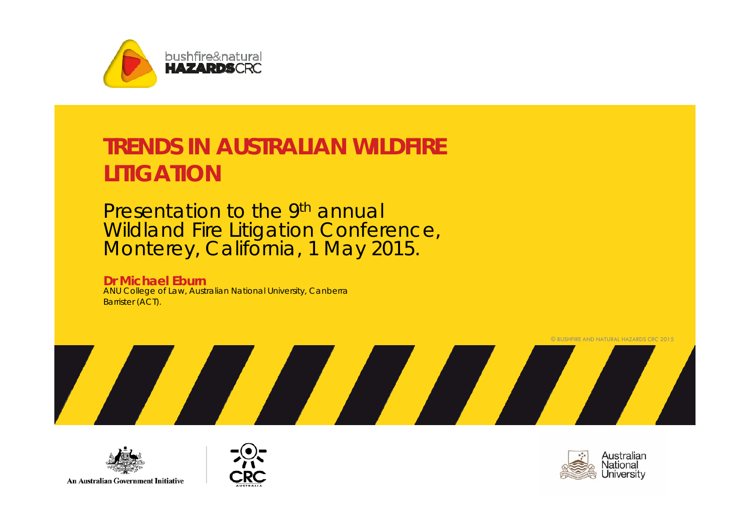

#### **TRENDS IN AUSTRALIAN WILDFIRE LITIGATION**

Presentation to the 9<sup>th</sup> annual Wildland Fire Litigation Conference, Monterey, California, 1 May 2015.

**Dr Michael Eburn** ANU College of Law, Australian National University, Canberra Barrister (ACT).





**An Australian Government Initiative** 



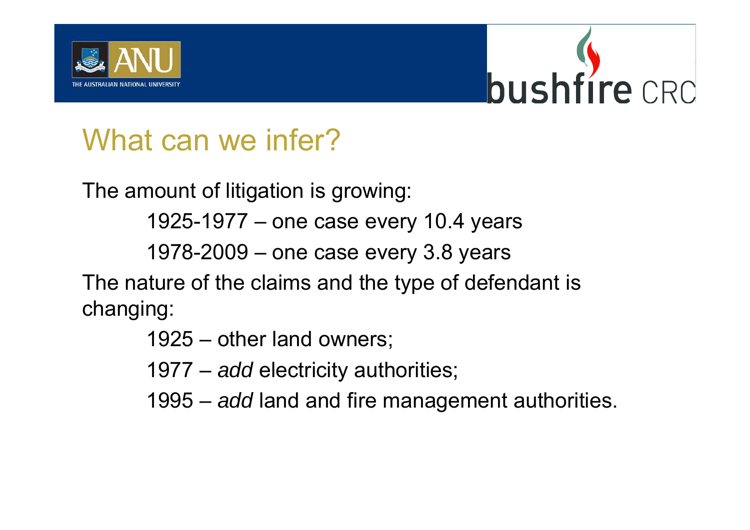



# What can we infer?

The amount of litigation is growing:

1925-1977 – one case every 10.4 years

1978-2009 – one case every 3.8 years

The nature of the claims and the type of defendant is changing:

1925 – other land owners;

1977 – *add* electricity authorities;

1995 – *add* land and fire management authorities.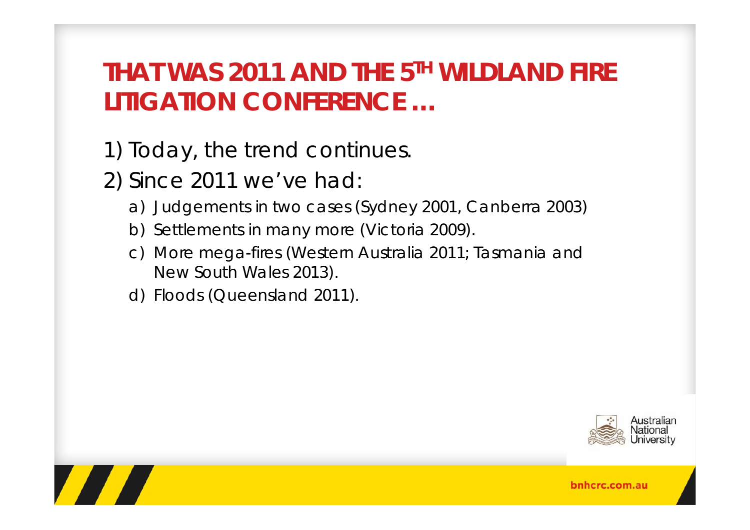# **THAT WAS 2011 AND THE 5TH WILDLAND FIRE LITIGATION CONFERENCE …**

- 1) Today, the trend continues.
- 2) Since 2011 we've had:
	- a) Judgements in two cases (Sydney 2001, Canberra 2003)
	- b) Settlements in many more (Victoria 2009).
	- c) More mega-fires (Western Australia 2011; Tasmania and New South Wales 2013).
	- d) Floods (Queensland 2011).





bnhcrc.com.au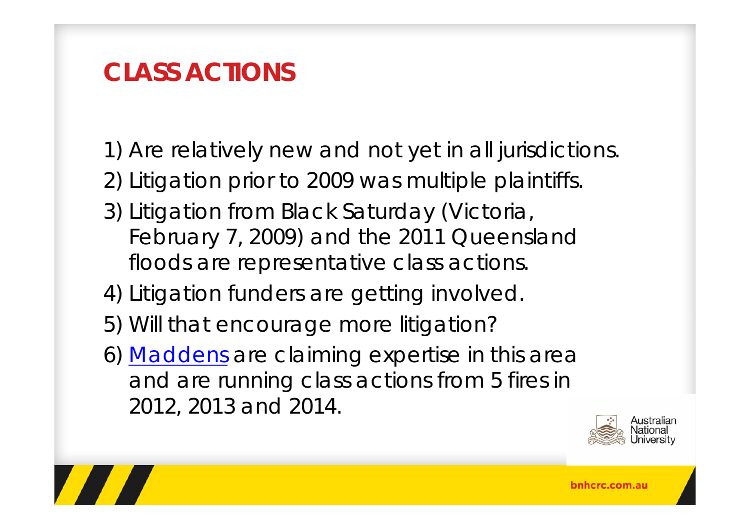# **CLASS ACTIONS**

- 1) Are relatively new and not yet in all jurisdictions.
- 2) Litigation prior to 2009 was multiple plaintiffs.
- 3) Litigation from Black Saturday (Victoria, February 7, 2009) and the 2011 Queensland floods are representative class actions.
- 4) Litigation funders are getting involved.
- 5) Will that encourage more litigation?
- 6) Maddens are claiming expertise in this area and are running class actions from 5 fires in 2012, 2013 and 2014.



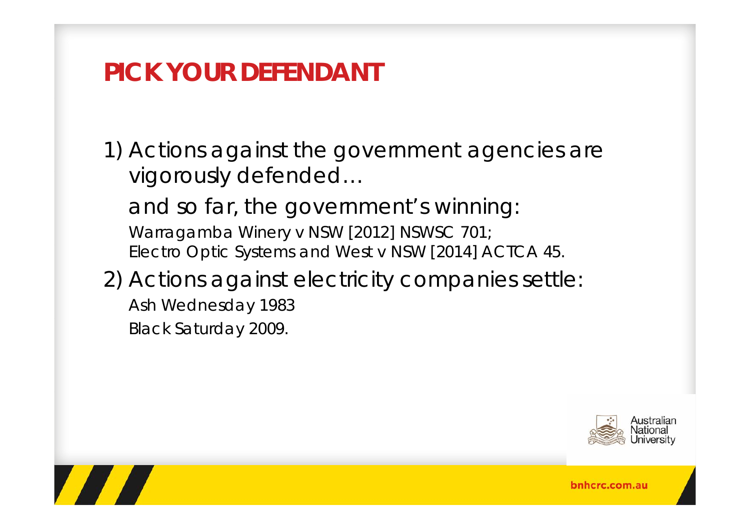#### **PICK YOUR DEFENDANT**

1) Actions against the government agencies are vigorously defended…

and so far, the government's winning: *Warragamba Winery v NSW* [2012] NSWSC 701; *Electro Optic Systems and West v NSW* [2014] ACTCA 45.

#### 2) Actions against electricity companies settle:

*Ash Wednesday 1983 Black Saturday 2009.*



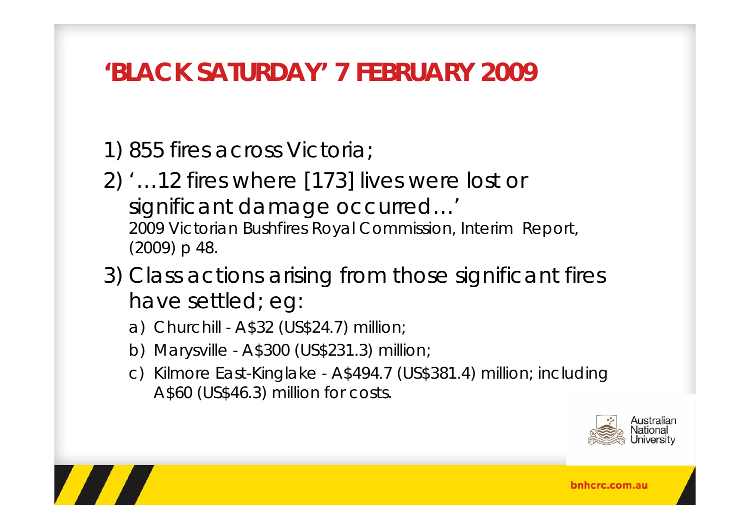### **'BLACK SATURDAY' 7 FEBRUARY 2009**

1) 855 fires across Victoria;

- 2) '…12 fires where [173] lives were lost or significant damage occurred…' 2009 Victorian Bushfires Royal Commission, *Interim Report*, (2009) p 48.
- 3) Class actions arising from those significant fires have settled; eg:
	- a) Churchill A\$32 (US\$24.7) million;
	- b) Marysville A\$300 (US\$231.3) million;
	- c) Kilmore East-Kinglake A\$494.7 (US\$381.4) million; including A\$60 (US\$46.3) million for costs.



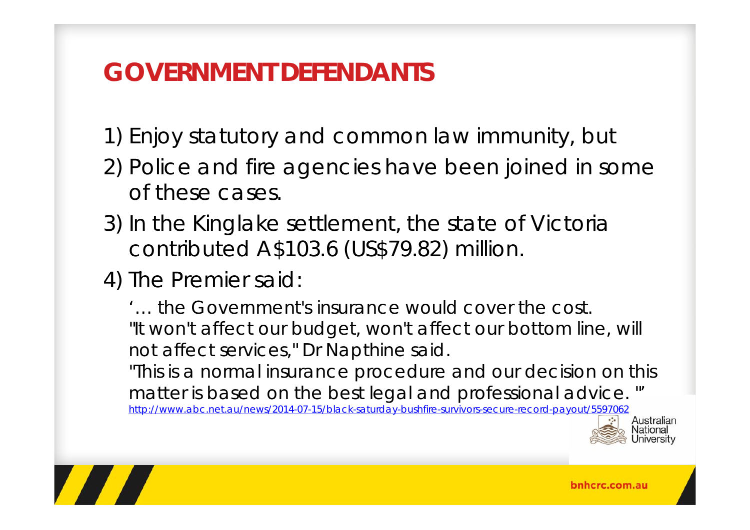# **GOVERNMENT DEFENDANTS**

1) Enjoy statutory and common law immunity, but

- 2) Police and fire agencies have been joined in some of these cases.
- 3) In the Kinglake settlement, the state of Victoria contributed A\$103.6 (US\$79.82) million.
- 4) The Premier said:

'… the Government's insurance would cover the cost."It won't affect our budget, won't affect our bottom line, will not affect services," Dr Napthine said.

"This is a normal insurance procedure and our decision on this matter is based on the best legal and professional advice. "'

http://www.abc.net.au/news/2014-07-15/black-saturday-bushfire-survivors-secure-record-payout/5597062





bnhcrc.com.au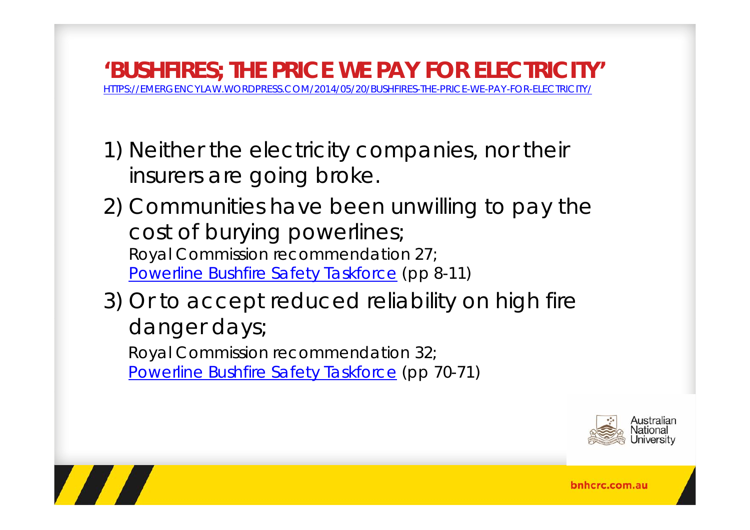**'BUSHFIRES; THE PRICE WE PAY FOR ELECTRICITY'** HTTPS://EMERGENCYLAW.WORDPRESS.COM/2014/05/20/BUSHFIRES-THE-PRICE-WE-PAY-FOR-ELECTRICITY/

1) Neither the electricity companies, nor their insurers are going broke.

2) Communities have been unwilling to pay the cost of burying powerlines; *Royal Commission* recommendation 27; Powerline Bushfire Safety Taskforce (pp 8-11)

3) Or to accept reduced reliability on high fire danger days;

*Royal Commission* recommendation 32; Powerline Bushfire Safety Taskforce (pp 70-71)



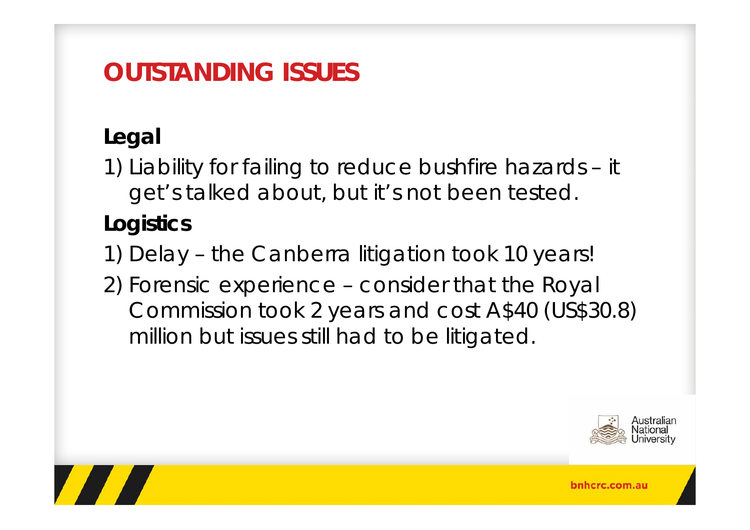# **OUTSTANDING ISSUES**

### **Legal**

1) Liability for failing to reduce bushfire hazards – it get's talked about, but it's not been tested.

#### **Logistics**

- 1) Delay the Canberra litigation took 10 years!
- 2) Forensic experience consider that the Royal Commission took 2 years and cost A\$40 (US\$30.8) million but issues still had to be litigated.



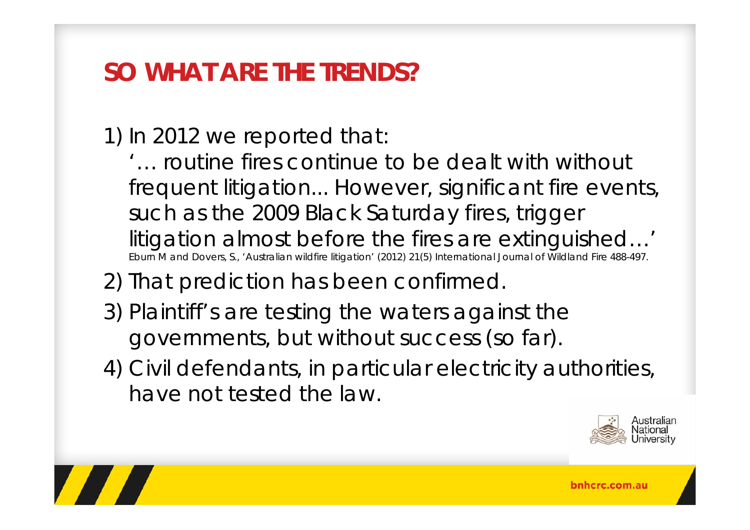## **SO WHAT ARE THE TRENDS?**

1) In 2012 we reported that:

'… routine fires continue to be dealt with without frequent litigation... However, significant fire events, such as the 2009 Black Saturday fires, trigger litigation almost before the fires are extinguished…' Eburn M and Dovers, S., 'Australian wildfire litigation' (2012) 21(5) *International Journal of Wildland Fire* 488-497.

2) That prediction has been confirmed.

- 3) Plaintiff's are testing the waters against the governments, but without success (so far).
- 4) Civil defendants, in particular electricity authorities, have not tested the law.



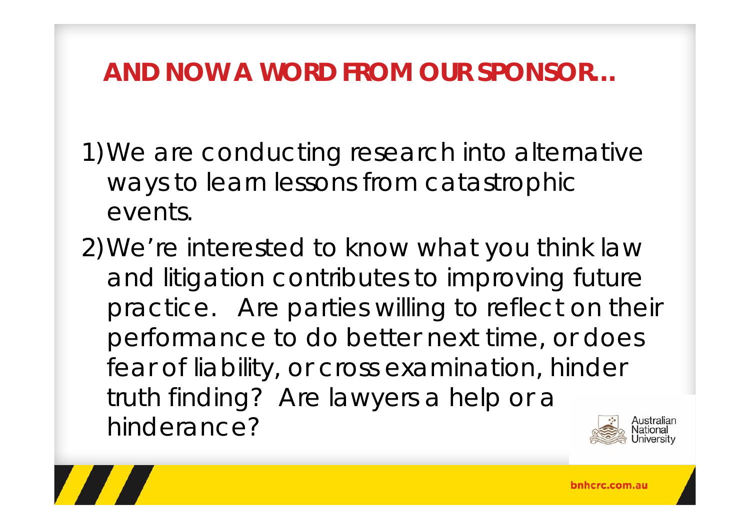### **AND NOW A WORD FROM OUR SPONSOR…**

1)We are conducting research into alternative ways to learn lessons from catastrophic events.

2)We're interested to know what you think law and litigation contributes to improving future practice. Are parties willing to reflect on their performance to do better next time, or does fear of liability, or cross examination, hinder truth finding? Are lawyers a help or a hinderance?

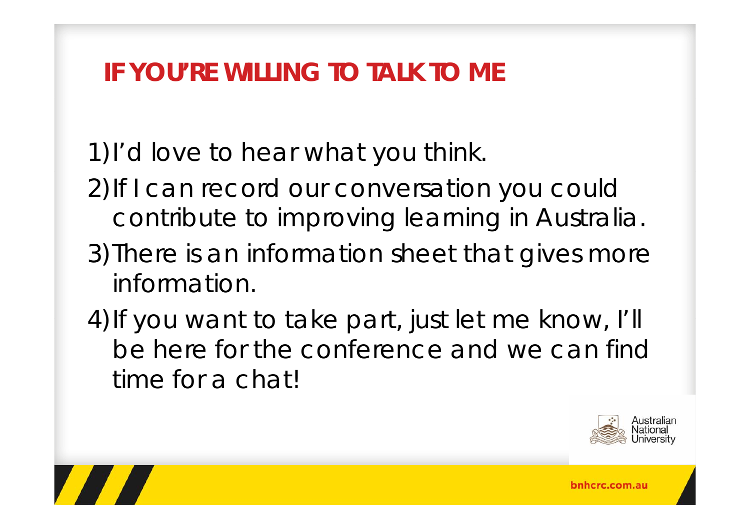# **IF YOU'RE WILLING TO TALK TO ME**

1)I'd love to hear what you think.

- 2)If I can record our conversation you could contribute to improving learning in Australia.
- 3)There is an information sheet that gives more information.
- 4) If you want to take part, just let me know, I'll be here for the conference and we can find time for a chat!